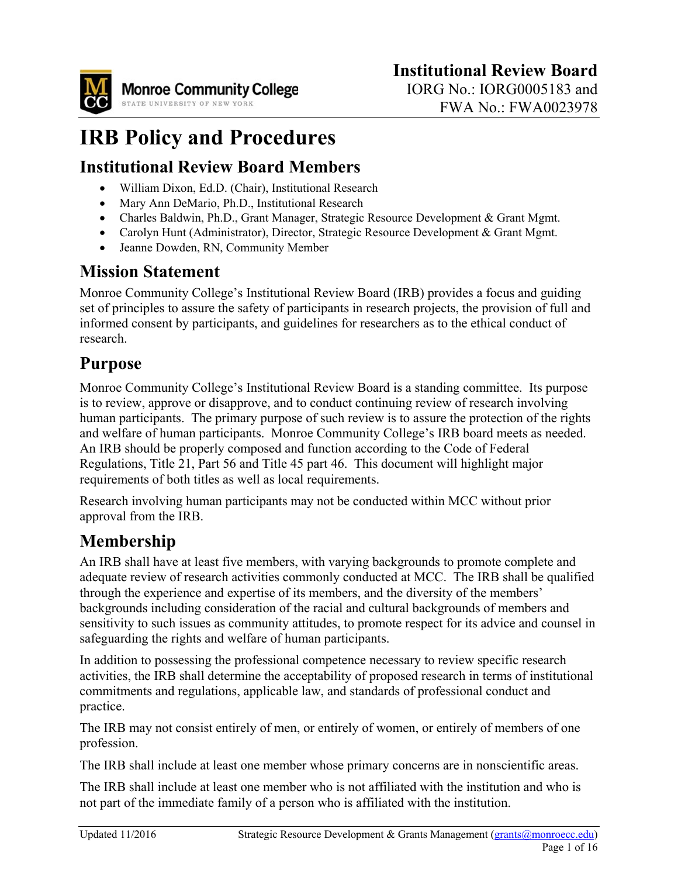

# **IRB Policy and Procedures**

### **Institutional Review Board Members**

- William Dixon, Ed.D. (Chair), Institutional Research
- Mary Ann DeMario, Ph.D., Institutional Research
- Charles Baldwin, Ph.D., Grant Manager, Strategic Resource Development & Grant Mgmt.
- Carolyn Hunt (Administrator), Director, Strategic Resource Development & Grant Mgmt.
- Jeanne Dowden, RN, Community Member

### **Mission Statement**

Monroe Community College's Institutional Review Board (IRB) provides a focus and guiding set of principles to assure the safety of participants in research projects, the provision of full and informed consent by participants, and guidelines for researchers as to the ethical conduct of research.

### **Purpose**

Monroe Community College's Institutional Review Board is a standing committee. Its purpose is to review, approve or disapprove, and to conduct continuing review of research involving human participants. The primary purpose of such review is to assure the protection of the rights and welfare of human participants. Monroe Community College's IRB board meets as needed. An IRB should be properly composed and function according to the Code of Federal Regulations, Title 21, Part 56 and Title 45 part 46. This document will highlight major requirements of both titles as well as local requirements.

Research involving human participants may not be conducted within MCC without prior approval from the IRB.

## **Membership**

An IRB shall have at least five members, with varying backgrounds to promote complete and adequate review of research activities commonly conducted at MCC. The IRB shall be qualified through the experience and expertise of its members, and the diversity of the members' backgrounds including consideration of the racial and cultural backgrounds of members and sensitivity to such issues as community attitudes, to promote respect for its advice and counsel in safeguarding the rights and welfare of human participants.

In addition to possessing the professional competence necessary to review specific research activities, the IRB shall determine the acceptability of proposed research in terms of institutional commitments and regulations, applicable law, and standards of professional conduct and practice.

The IRB may not consist entirely of men, or entirely of women, or entirely of members of one profession.

The IRB shall include at least one member whose primary concerns are in nonscientific areas.

The IRB shall include at least one member who is not affiliated with the institution and who is not part of the immediate family of a person who is affiliated with the institution.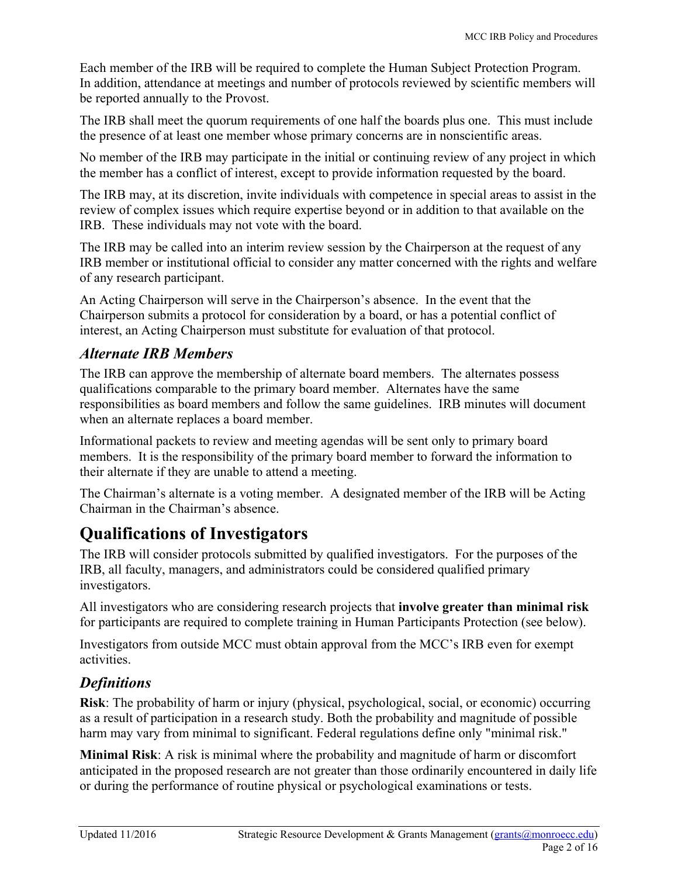Each member of the IRB will be required to complete the Human Subject Protection Program. In addition, attendance at meetings and number of protocols reviewed by scientific members will be reported annually to the Provost.

The IRB shall meet the quorum requirements of one half the boards plus one. This must include the presence of at least one member whose primary concerns are in nonscientific areas.

No member of the IRB may participate in the initial or continuing review of any project in which the member has a conflict of interest, except to provide information requested by the board.

The IRB may, at its discretion, invite individuals with competence in special areas to assist in the review of complex issues which require expertise beyond or in addition to that available on the IRB. These individuals may not vote with the board.

The IRB may be called into an interim review session by the Chairperson at the request of any IRB member or institutional official to consider any matter concerned with the rights and welfare of any research participant.

An Acting Chairperson will serve in the Chairperson's absence. In the event that the Chairperson submits a protocol for consideration by a board, or has a potential conflict of interest, an Acting Chairperson must substitute for evaluation of that protocol.

### *Alternate IRB Members*

The IRB can approve the membership of alternate board members. The alternates possess qualifications comparable to the primary board member. Alternates have the same responsibilities as board members and follow the same guidelines. IRB minutes will document when an alternate replaces a board member.

Informational packets to review and meeting agendas will be sent only to primary board members. It is the responsibility of the primary board member to forward the information to their alternate if they are unable to attend a meeting.

The Chairman's alternate is a voting member. A designated member of the IRB will be Acting Chairman in the Chairman's absence.

### **Qualifications of Investigators**

The IRB will consider protocols submitted by qualified investigators. For the purposes of the IRB, all faculty, managers, and administrators could be considered qualified primary investigators.

All investigators who are considering research projects that **involve greater than minimal risk** for participants are required to complete training in Human Participants Protection (see below).

Investigators from outside MCC must obtain approval from the MCC's IRB even for exempt activities.

### *Definitions*

**Risk**: The probability of harm or injury (physical, psychological, social, or economic) occurring as a result of participation in a research study. Both the probability and magnitude of possible harm may vary from minimal to significant. Federal regulations define only "minimal risk."

**Minimal Risk**: A risk is minimal where the probability and magnitude of harm or discomfort anticipated in the proposed research are not greater than those ordinarily encountered in daily life or during the performance of routine physical or psychological examinations or tests.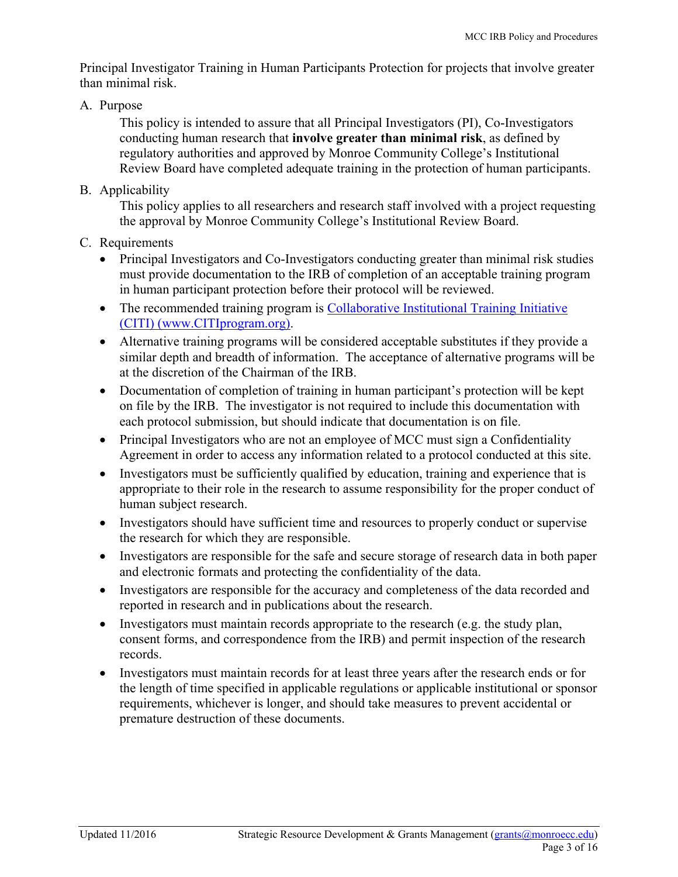Principal Investigator Training in Human Participants Protection for projects that involve greater than minimal risk.

A. Purpose

This policy is intended to assure that all Principal Investigators (PI), Co-Investigators conducting human research that **involve greater than minimal risk**, as defined by regulatory authorities and approved by Monroe Community College's Institutional Review Board have completed adequate training in the protection of human participants.

B. Applicability

This policy applies to all researchers and research staff involved with a project requesting the approval by Monroe Community College's Institutional Review Board.

- C. Requirements
	- Principal Investigators and Co-Investigators conducting greater than minimal risk studies must provide documentation to the IRB of completion of an acceptable training program in human participant protection before their protocol will be reviewed.
	- The recommended training program is Collaborative Institutional Training Initiative [\(CITI\) \(www.CITIprogram.org\).](https://www.citiprogram.org/)
	- Alternative training programs will be considered acceptable substitutes if they provide a similar depth and breadth of information. The acceptance of alternative programs will be at the discretion of the Chairman of the IRB.
	- Documentation of completion of training in human participant's protection will be kept on file by the IRB. The investigator is not required to include this documentation with each protocol submission, but should indicate that documentation is on file.
	- Principal Investigators who are not an employee of MCC must sign a Confidentiality Agreement in order to access any information related to a protocol conducted at this site.
	- Investigators must be sufficiently qualified by education, training and experience that is appropriate to their role in the research to assume responsibility for the proper conduct of human subject research.
	- Investigators should have sufficient time and resources to properly conduct or supervise the research for which they are responsible.
	- Investigators are responsible for the safe and secure storage of research data in both paper and electronic formats and protecting the confidentiality of the data.
	- Investigators are responsible for the accuracy and completeness of the data recorded and reported in research and in publications about the research.
	- Investigators must maintain records appropriate to the research (e.g. the study plan, consent forms, and correspondence from the IRB) and permit inspection of the research records.
	- Investigators must maintain records for at least three years after the research ends or for the length of time specified in applicable regulations or applicable institutional or sponsor requirements, whichever is longer, and should take measures to prevent accidental or premature destruction of these documents.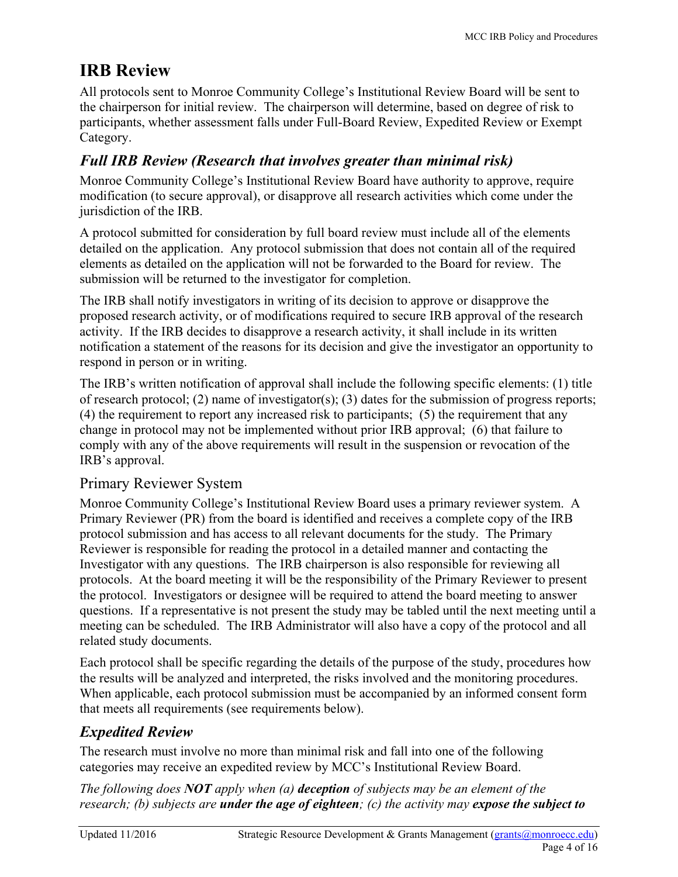## **IRB Review**

All protocols sent to Monroe Community College's Institutional Review Board will be sent to the chairperson for initial review. The chairperson will determine, based on degree of risk to participants, whether assessment falls under Full-Board Review, Expedited Review or Exempt Category.

### *Full IRB Review (Research that involves greater than minimal risk)*

Monroe Community College's Institutional Review Board have authority to approve, require modification (to secure approval), or disapprove all research activities which come under the jurisdiction of the IRB.

A protocol submitted for consideration by full board review must include all of the elements detailed on the application. Any protocol submission that does not contain all of the required elements as detailed on the application will not be forwarded to the Board for review. The submission will be returned to the investigator for completion.

The IRB shall notify investigators in writing of its decision to approve or disapprove the proposed research activity, or of modifications required to secure IRB approval of the research activity. If the IRB decides to disapprove a research activity, it shall include in its written notification a statement of the reasons for its decision and give the investigator an opportunity to respond in person or in writing.

The IRB's written notification of approval shall include the following specific elements: (1) title of research protocol; (2) name of investigator(s); (3) dates for the submission of progress reports; (4) the requirement to report any increased risk to participants; (5) the requirement that any change in protocol may not be implemented without prior IRB approval; (6) that failure to comply with any of the above requirements will result in the suspension or revocation of the IRB's approval.

### Primary Reviewer System

Monroe Community College's Institutional Review Board uses a primary reviewer system. A Primary Reviewer (PR) from the board is identified and receives a complete copy of the IRB protocol submission and has access to all relevant documents for the study. The Primary Reviewer is responsible for reading the protocol in a detailed manner and contacting the Investigator with any questions. The IRB chairperson is also responsible for reviewing all protocols. At the board meeting it will be the responsibility of the Primary Reviewer to present the protocol. Investigators or designee will be required to attend the board meeting to answer questions. If a representative is not present the study may be tabled until the next meeting until a meeting can be scheduled. The IRB Administrator will also have a copy of the protocol and all related study documents.

Each protocol shall be specific regarding the details of the purpose of the study, procedures how the results will be analyzed and interpreted, the risks involved and the monitoring procedures. When applicable, each protocol submission must be accompanied by an informed consent form that meets all requirements (see requirements below).

### *Expedited Review*

The research must involve no more than minimal risk and fall into one of the following categories may receive an expedited review by MCC's Institutional Review Board.

*The following does NOT apply when (a) deception of subjects may be an element of the research; (b) subjects are under the age of eighteen; (c) the activity may expose the subject to*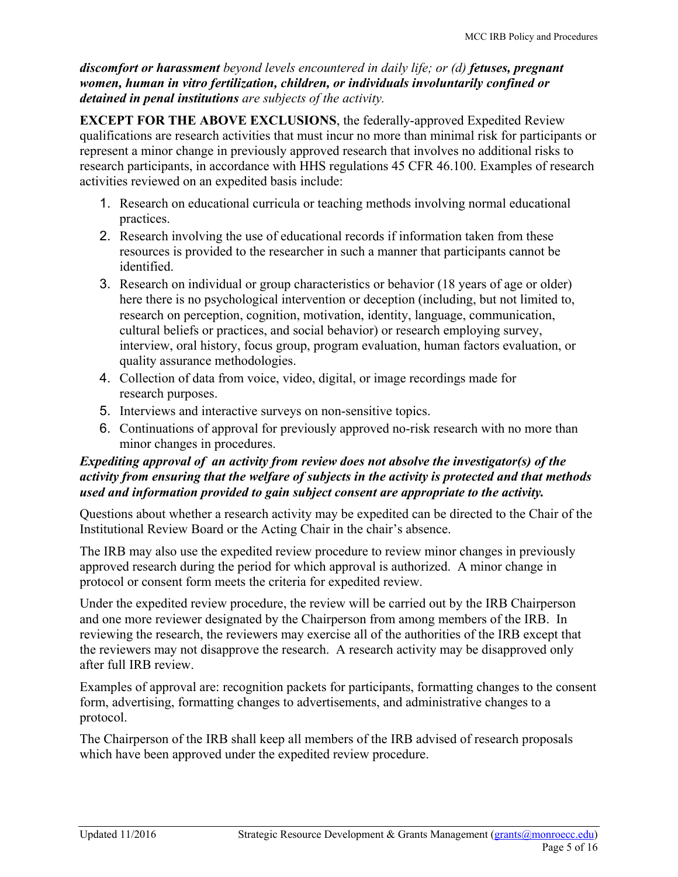*discomfort or harassment beyond levels encountered in daily life; or (d) fetuses, pregnant women, human in vitro fertilization, children, or individuals involuntarily confined or detained in penal institutions are subjects of the activity.*

**EXCEPT FOR THE ABOVE EXCLUSIONS**, the federally-approved Expedited Review qualifications are research activities that must incur no more than minimal risk for participants or represent a minor change in previously approved research that involves no additional risks to research participants, in accordance with HHS regulations 45 CFR 46.100. Examples of research activities reviewed on an expedited basis include:

- 1. Research on educational curricula or teaching methods involving normal educational practices.
- 2. Research involving the use of educational records if information taken from these resources is provided to the researcher in such a manner that participants cannot be identified.
- 3. Research on individual or group characteristics or behavior (18 years of age or older) here there is no psychological intervention or deception (including, but not limited to, research on perception, cognition, motivation, identity, language, communication, cultural beliefs or practices, and social behavior) or research employing survey, interview, oral history, focus group, program evaluation, human factors evaluation, or quality assurance methodologies.
- 4. Collection of data from voice, video, digital, or image recordings made for research purposes.
- 5. Interviews and interactive surveys on non-sensitive topics.
- 6. Continuations of approval for previously approved no-risk research with no more than minor changes in procedures.

#### *Expediting approval of an activity from review does not absolve the investigator(s) of the activity from ensuring that the welfare of subjects in the activity is protected and that methods used and information provided to gain subject consent are appropriate to the activity.*

Questions about whether a research activity may be expedited can be directed to the Chair of the Institutional Review Board or the Acting Chair in the chair's absence.

The IRB may also use the expedited review procedure to review minor changes in previously approved research during the period for which approval is authorized. A minor change in protocol or consent form meets the criteria for expedited review.

Under the expedited review procedure, the review will be carried out by the IRB Chairperson and one more reviewer designated by the Chairperson from among members of the IRB. In reviewing the research, the reviewers may exercise all of the authorities of the IRB except that the reviewers may not disapprove the research. A research activity may be disapproved only after full IRB review.

Examples of approval are: recognition packets for participants, formatting changes to the consent form, advertising, formatting changes to advertisements, and administrative changes to a protocol.

The Chairperson of the IRB shall keep all members of the IRB advised of research proposals which have been approved under the expedited review procedure.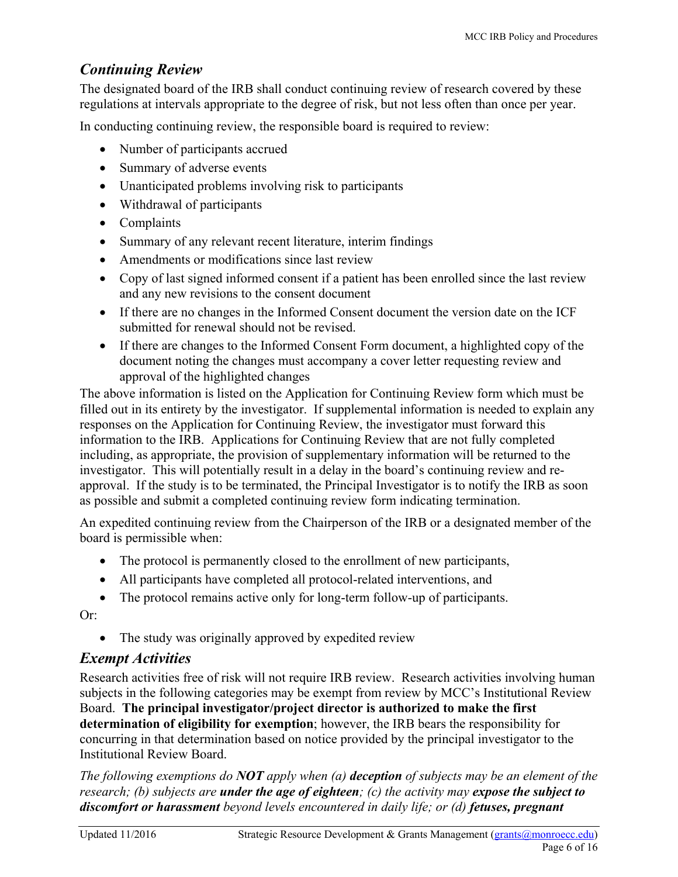### *Continuing Review*

The designated board of the IRB shall conduct continuing review of research covered by these regulations at intervals appropriate to the degree of risk, but not less often than once per year.

In conducting continuing review, the responsible board is required to review:

- Number of participants accrued
- Summary of adverse events
- Unanticipated problems involving risk to participants
- Withdrawal of participants
- Complaints
- Summary of any relevant recent literature, interim findings
- Amendments or modifications since last review
- Copy of last signed informed consent if a patient has been enrolled since the last review and any new revisions to the consent document
- If there are no changes in the Informed Consent document the version date on the ICF submitted for renewal should not be revised.
- If there are changes to the Informed Consent Form document, a highlighted copy of the document noting the changes must accompany a cover letter requesting review and approval of the highlighted changes

The above information is listed on the Application for Continuing Review form which must be filled out in its entirety by the investigator. If supplemental information is needed to explain any responses on the Application for Continuing Review, the investigator must forward this information to the IRB. Applications for Continuing Review that are not fully completed including, as appropriate, the provision of supplementary information will be returned to the investigator. This will potentially result in a delay in the board's continuing review and reapproval. If the study is to be terminated, the Principal Investigator is to notify the IRB as soon as possible and submit a completed continuing review form indicating termination.

An expedited continuing review from the Chairperson of the IRB or a designated member of the board is permissible when:

- The protocol is permanently closed to the enrollment of new participants,
- All participants have completed all protocol-related interventions, and
- The protocol remains active only for long-term follow-up of participants.

Or:

• The study was originally approved by expedited review

#### *Exempt Activities*

Research activities free of risk will not require IRB review. Research activities involving human subjects in the following categories may be exempt from review by MCC's Institutional Review Board. **The principal investigator/project director is authorized to make the first determination of eligibility for exemption**; however, the IRB bears the responsibility for concurring in that determination based on notice provided by the principal investigator to the Institutional Review Board.

*The following exemptions do NOT apply when (a) deception of subjects may be an element of the research; (b) subjects are under the age of eighteen; (c) the activity may expose the subject to discomfort or harassment beyond levels encountered in daily life; or (d) fetuses, pregnant*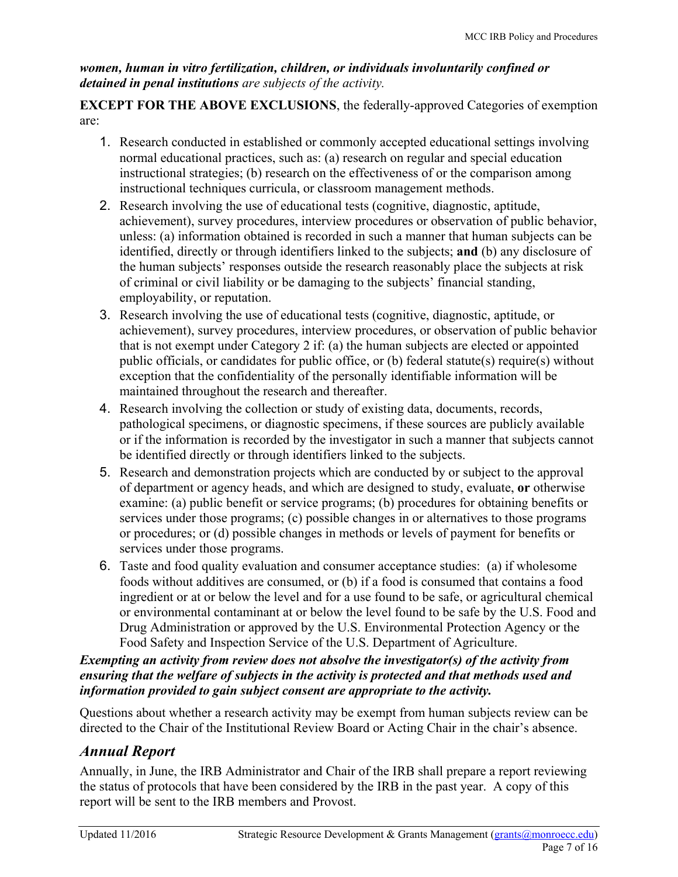#### *women, human in vitro fertilization, children, or individuals involuntarily confined or detained in penal institutions are subjects of the activity.*

**EXCEPT FOR THE ABOVE EXCLUSIONS**, the federally-approved Categories of exemption are:

- 1. Research conducted in established or commonly accepted educational settings involving normal educational practices, such as: (a) research on regular and special education instructional strategies; (b) research on the effectiveness of or the comparison among instructional techniques curricula, or classroom management methods.
- 2. Research involving the use of educational tests (cognitive, diagnostic, aptitude, achievement), survey procedures, interview procedures or observation of public behavior, unless: (a) information obtained is recorded in such a manner that human subjects can be identified, directly or through identifiers linked to the subjects; **and** (b) any disclosure of the human subjects' responses outside the research reasonably place the subjects at risk of criminal or civil liability or be damaging to the subjects' financial standing, employability, or reputation.
- 3. Research involving the use of educational tests (cognitive, diagnostic, aptitude, or achievement), survey procedures, interview procedures, or observation of public behavior that is not exempt under Category 2 if: (a) the human subjects are elected or appointed public officials, or candidates for public office, or (b) federal statute(s) require(s) without exception that the confidentiality of the personally identifiable information will be maintained throughout the research and thereafter.
- 4. Research involving the collection or study of existing data, documents, records, pathological specimens, or diagnostic specimens, if these sources are publicly available or if the information is recorded by the investigator in such a manner that subjects cannot be identified directly or through identifiers linked to the subjects.
- 5. Research and demonstration projects which are conducted by or subject to the approval of department or agency heads, and which are designed to study, evaluate, **or** otherwise examine: (a) public benefit or service programs; (b) procedures for obtaining benefits or services under those programs; (c) possible changes in or alternatives to those programs or procedures; or (d) possible changes in methods or levels of payment for benefits or services under those programs.
- 6. Taste and food quality evaluation and consumer acceptance studies: (a) if wholesome foods without additives are consumed, or (b) if a food is consumed that contains a food ingredient or at or below the level and for a use found to be safe, or agricultural chemical or environmental contaminant at or below the level found to be safe by the U.S. Food and Drug Administration or approved by the U.S. Environmental Protection Agency or the Food Safety and Inspection Service of the U.S. Department of Agriculture.

#### *Exempting an activity from review does not absolve the investigator(s) of the activity from ensuring that the welfare of subjects in the activity is protected and that methods used and information provided to gain subject consent are appropriate to the activity.*

Questions about whether a research activity may be exempt from human subjects review can be directed to the Chair of the Institutional Review Board or Acting Chair in the chair's absence.

### *Annual Report*

Annually, in June, the IRB Administrator and Chair of the IRB shall prepare a report reviewing the status of protocols that have been considered by the IRB in the past year. A copy of this report will be sent to the IRB members and Provost.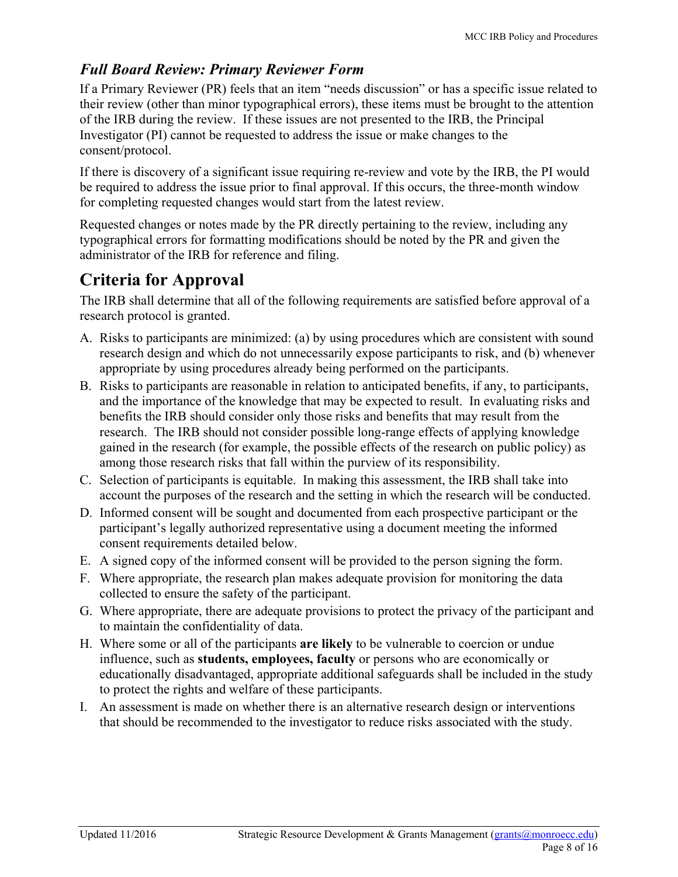### *Full Board Review: Primary Reviewer Form*

If a Primary Reviewer (PR) feels that an item "needs discussion" or has a specific issue related to their review (other than minor typographical errors), these items must be brought to the attention of the IRB during the review. If these issues are not presented to the IRB, the Principal Investigator (PI) cannot be requested to address the issue or make changes to the consent/protocol.

If there is discovery of a significant issue requiring re-review and vote by the IRB, the PI would be required to address the issue prior to final approval. If this occurs, the three-month window for completing requested changes would start from the latest review.

Requested changes or notes made by the PR directly pertaining to the review, including any typographical errors for formatting modifications should be noted by the PR and given the administrator of the IRB for reference and filing.

### **Criteria for Approval**

The IRB shall determine that all of the following requirements are satisfied before approval of a research protocol is granted.

- A. Risks to participants are minimized: (a) by using procedures which are consistent with sound research design and which do not unnecessarily expose participants to risk, and (b) whenever appropriate by using procedures already being performed on the participants.
- B. Risks to participants are reasonable in relation to anticipated benefits, if any, to participants, and the importance of the knowledge that may be expected to result. In evaluating risks and benefits the IRB should consider only those risks and benefits that may result from the research. The IRB should not consider possible long-range effects of applying knowledge gained in the research (for example, the possible effects of the research on public policy) as among those research risks that fall within the purview of its responsibility.
- C. Selection of participants is equitable. In making this assessment, the IRB shall take into account the purposes of the research and the setting in which the research will be conducted.
- D. Informed consent will be sought and documented from each prospective participant or the participant's legally authorized representative using a document meeting the informed consent requirements detailed below.
- E. A signed copy of the informed consent will be provided to the person signing the form.
- F. Where appropriate, the research plan makes adequate provision for monitoring the data collected to ensure the safety of the participant.
- G. Where appropriate, there are adequate provisions to protect the privacy of the participant and to maintain the confidentiality of data.
- H. Where some or all of the participants **are likely** to be vulnerable to coercion or undue influence, such as **students, employees, faculty** or persons who are economically or educationally disadvantaged, appropriate additional safeguards shall be included in the study to protect the rights and welfare of these participants.
- I. An assessment is made on whether there is an alternative research design or interventions that should be recommended to the investigator to reduce risks associated with the study.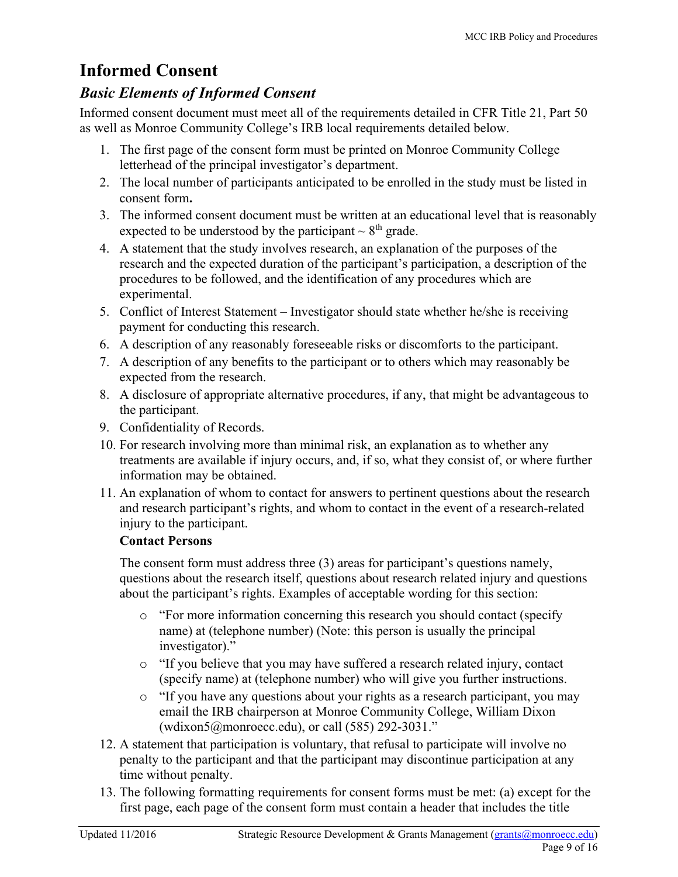### **Informed Consent**

### *Basic Elements of Informed Consent*

Informed consent document must meet all of the requirements detailed in CFR Title 21, Part 50 as well as Monroe Community College's IRB local requirements detailed below.

- 1. The first page of the consent form must be printed on Monroe Community College letterhead of the principal investigator's department.
- 2. The local number of participants anticipated to be enrolled in the study must be listed in consent form**.**
- 3. The informed consent document must be written at an educational level that is reasonably expected to be understood by the participant  $\sim 8^{\text{th}}$  grade.
- 4. A statement that the study involves research, an explanation of the purposes of the research and the expected duration of the participant's participation, a description of the procedures to be followed, and the identification of any procedures which are experimental.
- 5. Conflict of Interest Statement Investigator should state whether he/she is receiving payment for conducting this research.
- 6. A description of any reasonably foreseeable risks or discomforts to the participant.
- 7. A description of any benefits to the participant or to others which may reasonably be expected from the research.
- 8. A disclosure of appropriate alternative procedures, if any, that might be advantageous to the participant.
- 9. Confidentiality of Records.
- 10. For research involving more than minimal risk, an explanation as to whether any treatments are available if injury occurs, and, if so, what they consist of, or where further information may be obtained.
- 11. An explanation of whom to contact for answers to pertinent questions about the research and research participant's rights, and whom to contact in the event of a research-related injury to the participant.

#### **Contact Persons**

The consent form must address three (3) areas for participant's questions namely, questions about the research itself, questions about research related injury and questions about the participant's rights. Examples of acceptable wording for this section:

- o "For more information concerning this research you should contact (specify name) at (telephone number) (Note: this person is usually the principal investigator)."
- o "If you believe that you may have suffered a research related injury, contact (specify name) at (telephone number) who will give you further instructions.
- o "If you have any questions about your rights as a research participant, you may email the IRB chairperson at Monroe Community College, William Dixon (wdixon5@monroecc.edu), or call (585) 292-3031."
- 12. A statement that participation is voluntary, that refusal to participate will involve no penalty to the participant and that the participant may discontinue participation at any time without penalty.
- 13. The following formatting requirements for consent forms must be met: (a) except for the first page, each page of the consent form must contain a header that includes the title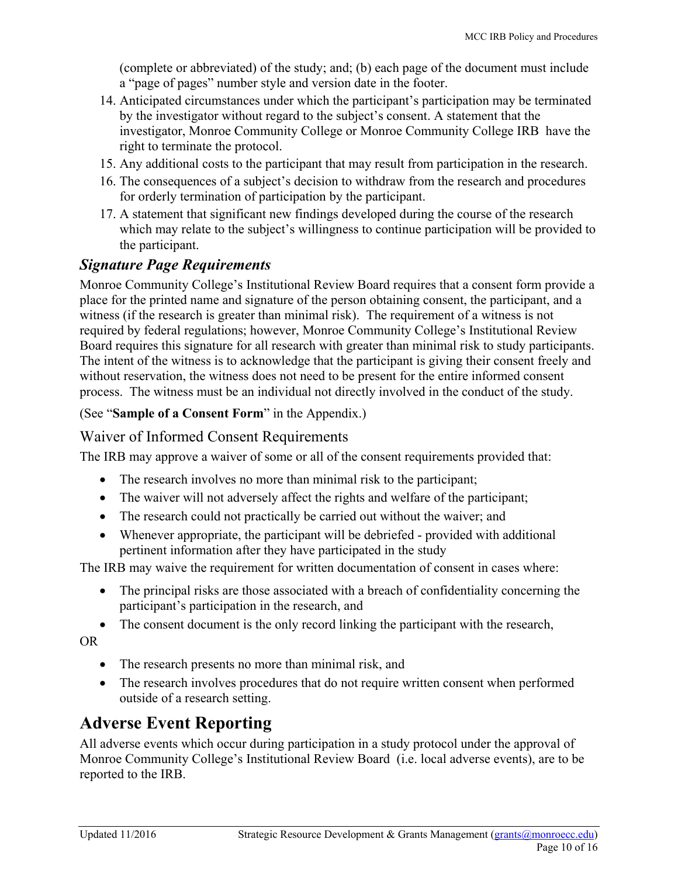(complete or abbreviated) of the study; and; (b) each page of the document must include a "page of pages" number style and version date in the footer.

- 14. Anticipated circumstances under which the participant's participation may be terminated by the investigator without regard to the subject's consent. A statement that the investigator, Monroe Community College or Monroe Community College IRB have the right to terminate the protocol.
- 15. Any additional costs to the participant that may result from participation in the research.
- 16. The consequences of a subject's decision to withdraw from the research and procedures for orderly termination of participation by the participant.
- 17. A statement that significant new findings developed during the course of the research which may relate to the subject's willingness to continue participation will be provided to the participant.

#### *Signature Page Requirements*

Monroe Community College's Institutional Review Board requires that a consent form provide a place for the printed name and signature of the person obtaining consent, the participant, and a witness (if the research is greater than minimal risk). The requirement of a witness is not required by federal regulations; however, Monroe Community College's Institutional Review Board requires this signature for all research with greater than minimal risk to study participants. The intent of the witness is to acknowledge that the participant is giving their consent freely and without reservation, the witness does not need to be present for the entire informed consent process. The witness must be an individual not directly involved in the conduct of the study.

(See "**[Sample of a Consent Form](#page-15-0)**" in the Appendix.)

#### Waiver of Informed Consent Requirements

The IRB may approve a waiver of some or all of the consent requirements provided that:

- The research involves no more than minimal risk to the participant;
- The waiver will not adversely affect the rights and welfare of the participant;
- The research could not practically be carried out without the waiver; and
- Whenever appropriate, the participant will be debriefed provided with additional pertinent information after they have participated in the study

The IRB may waive the requirement for written documentation of consent in cases where:

- The principal risks are those associated with a breach of confidentiality concerning the participant's participation in the research, and
- The consent document is the only record linking the participant with the research,

OR

- The research presents no more than minimal risk, and
- The research involves procedures that do not require written consent when performed outside of a research setting.

### **Adverse Event Reporting**

All adverse events which occur during participation in a study protocol under the approval of Monroe Community College's Institutional Review Board (i.e. local adverse events), are to be reported to the IRB.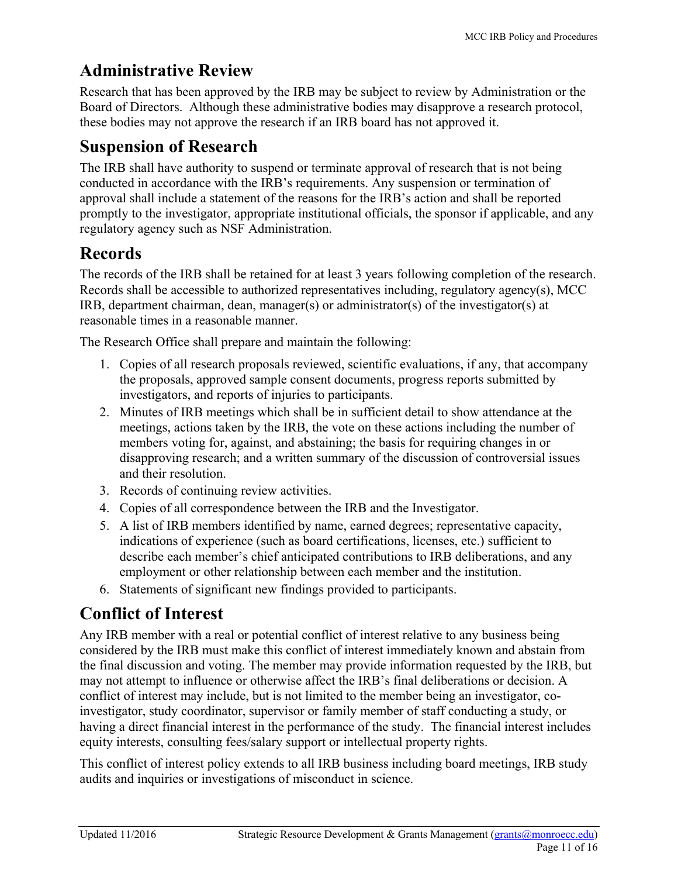## **Administrative Review**

Research that has been approved by the IRB may be subject to review by Administration or the Board of Directors. Although these administrative bodies may disapprove a research protocol, these bodies may not approve the research if an IRB board has not approved it.

## **Suspension of Research**

The IRB shall have authority to suspend or terminate approval of research that is not being conducted in accordance with the IRB's requirements. Any suspension or termination of approval shall include a statement of the reasons for the IRB's action and shall be reported promptly to the investigator, appropriate institutional officials, the sponsor if applicable, and any regulatory agency such as NSF Administration.

## **Records**

The records of the IRB shall be retained for at least 3 years following completion of the research. Records shall be accessible to authorized representatives including, regulatory agency(s), MCC IRB, department chairman, dean, manager(s) or administrator(s) of the investigator(s) at reasonable times in a reasonable manner.

The Research Office shall prepare and maintain the following:

- 1. Copies of all research proposals reviewed, scientific evaluations, if any, that accompany the proposals, approved sample consent documents, progress reports submitted by investigators, and reports of injuries to participants.
- 2. Minutes of IRB meetings which shall be in sufficient detail to show attendance at the meetings, actions taken by the IRB, the vote on these actions including the number of members voting for, against, and abstaining; the basis for requiring changes in or disapproving research; and a written summary of the discussion of controversial issues and their resolution.
- 3. Records of continuing review activities.
- 4. Copies of all correspondence between the IRB and the Investigator.
- 5. A list of IRB members identified by name, earned degrees; representative capacity, indications of experience (such as board certifications, licenses, etc.) sufficient to describe each member's chief anticipated contributions to IRB deliberations, and any employment or other relationship between each member and the institution.
- 6. Statements of significant new findings provided to participants.

## **Conflict of Interest**

Any IRB member with a real or potential conflict of interest relative to any business being considered by the IRB must make this conflict of interest immediately known and abstain from the final discussion and voting. The member may provide information requested by the IRB, but may not attempt to influence or otherwise affect the IRB's final deliberations or decision. A conflict of interest may include, but is not limited to the member being an investigator, coinvestigator, study coordinator, supervisor or family member of staff conducting a study, or having a direct financial interest in the performance of the study. The financial interest includes equity interests, consulting fees/salary support or intellectual property rights.

This conflict of interest policy extends to all IRB business including board meetings, IRB study audits and inquiries or investigations of misconduct in science.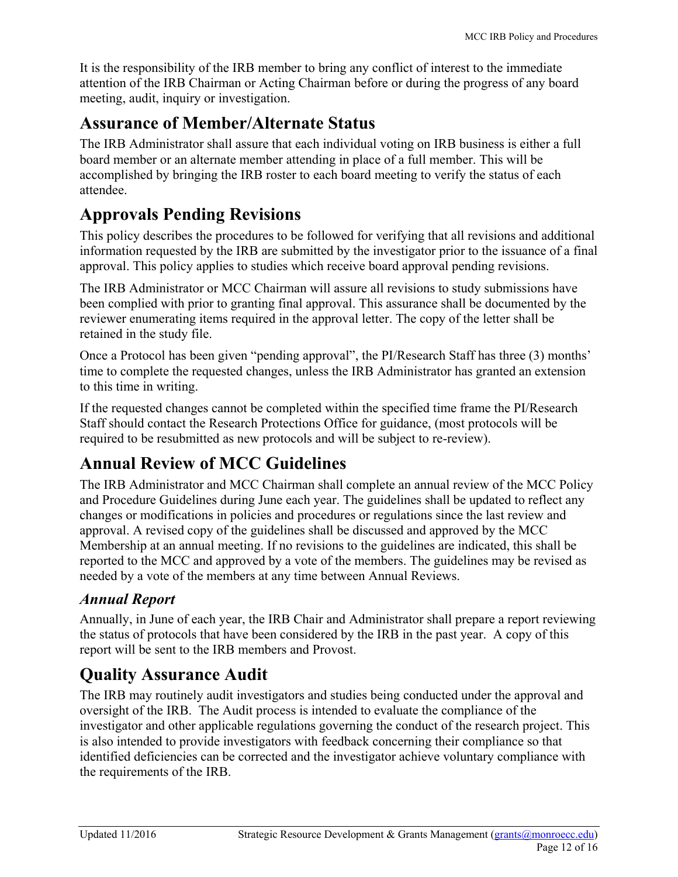It is the responsibility of the IRB member to bring any conflict of interest to the immediate attention of the IRB Chairman or Acting Chairman before or during the progress of any board meeting, audit, inquiry or investigation.

### **Assurance of Member/Alternate Status**

The IRB Administrator shall assure that each individual voting on IRB business is either a full board member or an alternate member attending in place of a full member. This will be accomplished by bringing the IRB roster to each board meeting to verify the status of each attendee.

## **Approvals Pending Revisions**

This policy describes the procedures to be followed for verifying that all revisions and additional information requested by the IRB are submitted by the investigator prior to the issuance of a final approval. This policy applies to studies which receive board approval pending revisions.

The IRB Administrator or MCC Chairman will assure all revisions to study submissions have been complied with prior to granting final approval. This assurance shall be documented by the reviewer enumerating items required in the approval letter. The copy of the letter shall be retained in the study file.

Once a Protocol has been given "pending approval", the PI/Research Staff has three (3) months' time to complete the requested changes, unless the IRB Administrator has granted an extension to this time in writing.

If the requested changes cannot be completed within the specified time frame the PI/Research Staff should contact the Research Protections Office for guidance, (most protocols will be required to be resubmitted as new protocols and will be subject to re-review).

## **Annual Review of MCC Guidelines**

The IRB Administrator and MCC Chairman shall complete an annual review of the MCC Policy and Procedure Guidelines during June each year. The guidelines shall be updated to reflect any changes or modifications in policies and procedures or regulations since the last review and approval. A revised copy of the guidelines shall be discussed and approved by the MCC Membership at an annual meeting. If no revisions to the guidelines are indicated, this shall be reported to the MCC and approved by a vote of the members. The guidelines may be revised as needed by a vote of the members at any time between Annual Reviews.

### *Annual Report*

Annually, in June of each year, the IRB Chair and Administrator shall prepare a report reviewing the status of protocols that have been considered by the IRB in the past year. A copy of this report will be sent to the IRB members and Provost.

## **Quality Assurance Audit**

The IRB may routinely audit investigators and studies being conducted under the approval and oversight of the IRB. The Audit process is intended to evaluate the compliance of the investigator and other applicable regulations governing the conduct of the research project. This is also intended to provide investigators with feedback concerning their compliance so that identified deficiencies can be corrected and the investigator achieve voluntary compliance with the requirements of the IRB.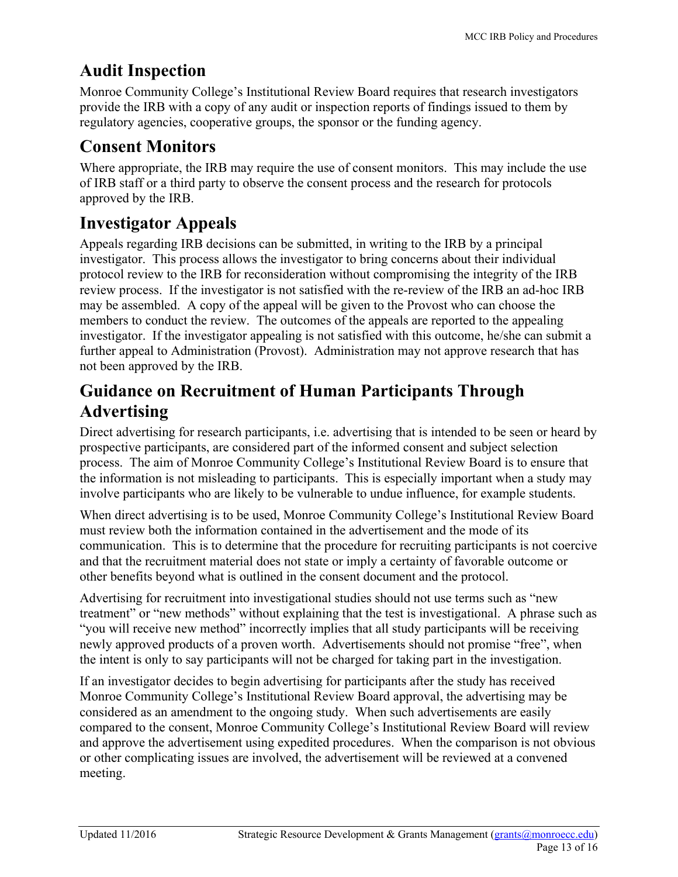## **Audit Inspection**

Monroe Community College's Institutional Review Board requires that research investigators provide the IRB with a copy of any audit or inspection reports of findings issued to them by regulatory agencies, cooperative groups, the sponsor or the funding agency.

### **Consent Monitors**

Where appropriate, the IRB may require the use of consent monitors. This may include the use of IRB staff or a third party to observe the consent process and the research for protocols approved by the IRB.

## **Investigator Appeals**

Appeals regarding IRB decisions can be submitted, in writing to the IRB by a principal investigator. This process allows the investigator to bring concerns about their individual protocol review to the IRB for reconsideration without compromising the integrity of the IRB review process. If the investigator is not satisfied with the re-review of the IRB an ad-hoc IRB may be assembled. A copy of the appeal will be given to the Provost who can choose the members to conduct the review. The outcomes of the appeals are reported to the appealing investigator. If the investigator appealing is not satisfied with this outcome, he/she can submit a further appeal to Administration (Provost). Administration may not approve research that has not been approved by the IRB.

## **Guidance on Recruitment of Human Participants Through Advertising**

Direct advertising for research participants, i.e. advertising that is intended to be seen or heard by prospective participants, are considered part of the informed consent and subject selection process. The aim of Monroe Community College's Institutional Review Board is to ensure that the information is not misleading to participants. This is especially important when a study may involve participants who are likely to be vulnerable to undue influence, for example students.

When direct advertising is to be used, Monroe Community College's Institutional Review Board must review both the information contained in the advertisement and the mode of its communication. This is to determine that the procedure for recruiting participants is not coercive and that the recruitment material does not state or imply a certainty of favorable outcome or other benefits beyond what is outlined in the consent document and the protocol.

Advertising for recruitment into investigational studies should not use terms such as "new treatment" or "new methods" without explaining that the test is investigational. A phrase such as "you will receive new method" incorrectly implies that all study participants will be receiving newly approved products of a proven worth. Advertisements should not promise "free", when the intent is only to say participants will not be charged for taking part in the investigation.

If an investigator decides to begin advertising for participants after the study has received Monroe Community College's Institutional Review Board approval, the advertising may be considered as an amendment to the ongoing study. When such advertisements are easily compared to the consent, Monroe Community College's Institutional Review Board will review and approve the advertisement using expedited procedures. When the comparison is not obvious or other complicating issues are involved, the advertisement will be reviewed at a convened meeting.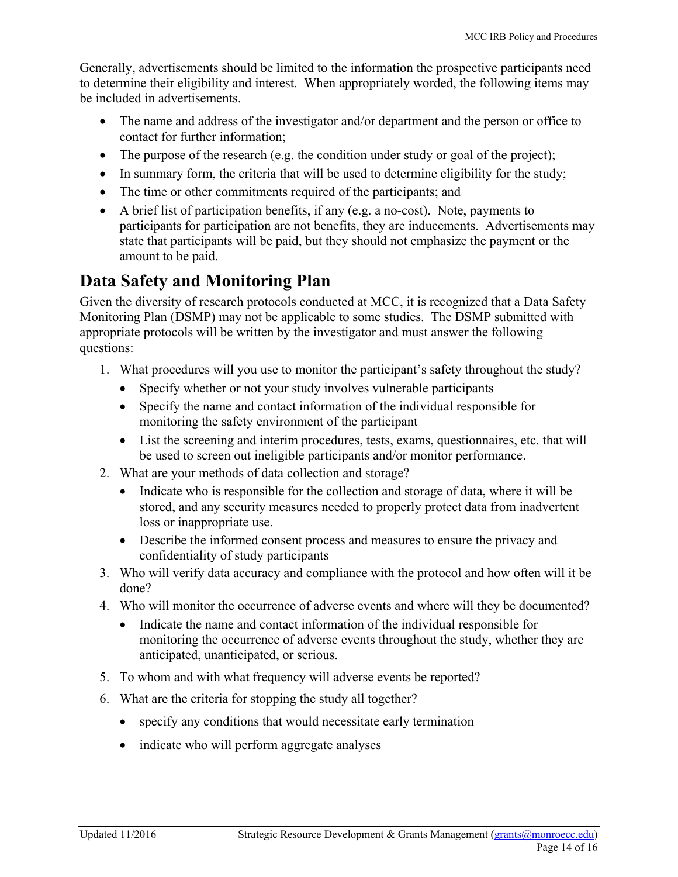Generally, advertisements should be limited to the information the prospective participants need to determine their eligibility and interest. When appropriately worded, the following items may be included in advertisements.

- The name and address of the investigator and/or department and the person or office to contact for further information;
- The purpose of the research (e.g. the condition under study or goal of the project);
- In summary form, the criteria that will be used to determine eligibility for the study;
- The time or other commitments required of the participants; and
- A brief list of participation benefits, if any (e.g. a no-cost). Note, payments to participants for participation are not benefits, they are inducements. Advertisements may state that participants will be paid, but they should not emphasize the payment or the amount to be paid.

### **Data Safety and Monitoring Plan**

Given the diversity of research protocols conducted at MCC, it is recognized that a Data Safety Monitoring Plan (DSMP) may not be applicable to some studies. The DSMP submitted with appropriate protocols will be written by the investigator and must answer the following questions:

- 1. What procedures will you use to monitor the participant's safety throughout the study?
	- Specify whether or not your study involves vulnerable participants
	- Specify the name and contact information of the individual responsible for monitoring the safety environment of the participant
	- List the screening and interim procedures, tests, exams, questionnaires, etc. that will be used to screen out ineligible participants and/or monitor performance.
- 2. What are your methods of data collection and storage?
	- Indicate who is responsible for the collection and storage of data, where it will be stored, and any security measures needed to properly protect data from inadvertent loss or inappropriate use.
	- Describe the informed consent process and measures to ensure the privacy and confidentiality of study participants
- 3. Who will verify data accuracy and compliance with the protocol and how often will it be done?
- 4. Who will monitor the occurrence of adverse events and where will they be documented?
	- Indicate the name and contact information of the individual responsible for monitoring the occurrence of adverse events throughout the study, whether they are anticipated, unanticipated, or serious.
- 5. To whom and with what frequency will adverse events be reported?
- 6. What are the criteria for stopping the study all together?
	- specify any conditions that would necessitate early termination
	- indicate who will perform aggregate analyses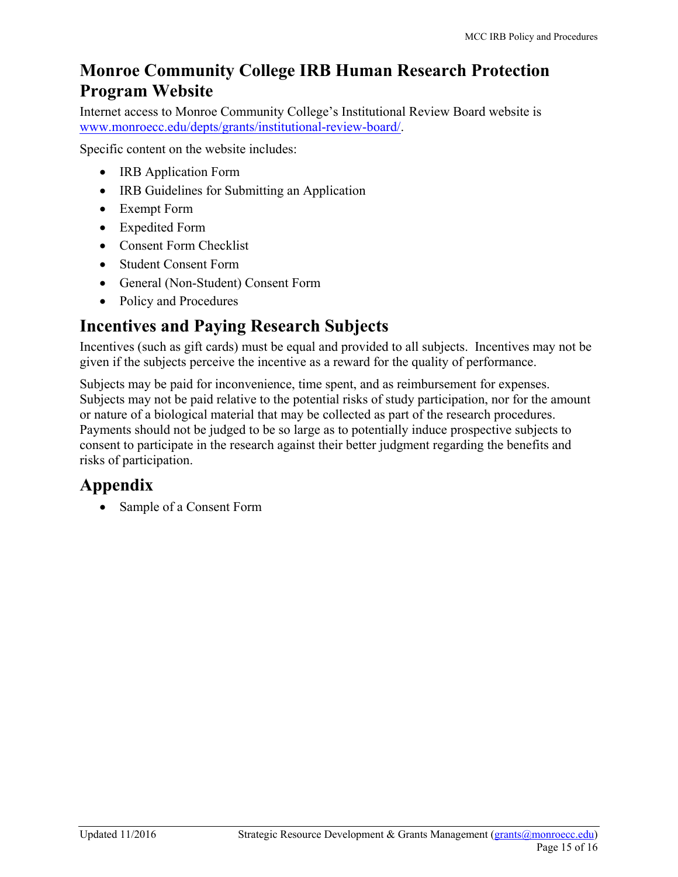### **Monroe Community College IRB Human Research Protection Program Website**

Internet access to Monroe Community College's Institutional Review Board website is [www.monroecc.edu/depts/grants/institutional-review-board/](http://www.monroecc.edu/depts/grants/institutional-review-board).

Specific content on the website includes:

- IRB Application Form
- IRB Guidelines for Submitting an Application
- Exempt Form
- Expedited Form
- Consent Form Checklist
- Student Consent Form
- General (Non-Student) Consent Form
- Policy and Procedures

## **Incentives and Paying Research Subjects**

Incentives (such as gift cards) must be equal and provided to all subjects. Incentives may not be given if the subjects perceive the incentive as a reward for the quality of performance.

Subjects may be paid for inconvenience, time spent, and as reimbursement for expenses. Subjects may not be paid relative to the potential risks of study participation, nor for the amount or nature of a biological material that may be collected as part of the research procedures. Payments should not be judged to be so large as to potentially induce prospective subjects to consent to participate in the research against their better judgment regarding the benefits and risks of participation.

## **Appendix**

• Sample of a Consent Form